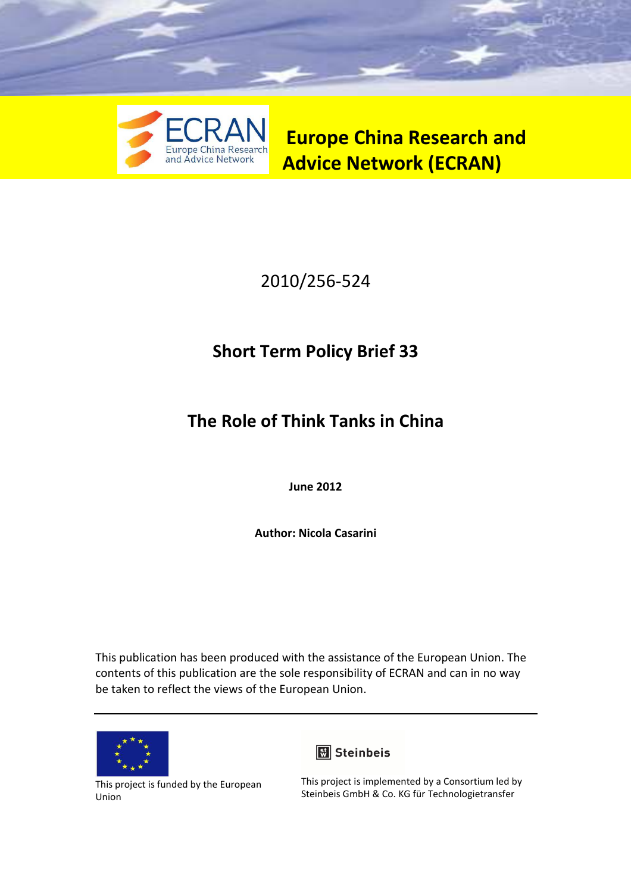

**Europe China Research and Advice Network (ECRAN)** 

# 2010/256-524

# **Short Term Policy Brief 33**

# **The Role of Think Tanks in China**

**June 2012** 

**Author: Nicola Casarini** 

This publication has been produced with the assistance of the European Union. The contents of this publication are the sole responsibility of ECRAN and can in no way be taken to reflect the views of the European Union.



This project is funded by the European Union



This project is implemented by a Consortium led by Steinbeis GmbH & Co. KG für Technologietransfer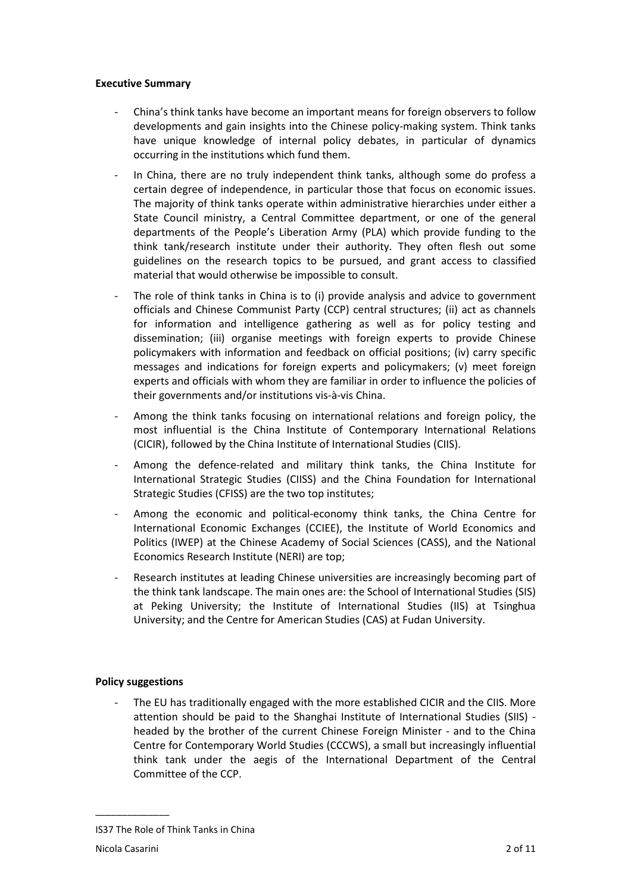## **Executive Summary**

- China's think tanks have become an important means for foreign observers to follow developments and gain insights into the Chinese policy-making system. Think tanks have unique knowledge of internal policy debates, in particular of dynamics occurring in the institutions which fund them.
- In China, there are no truly independent think tanks, although some do profess a certain degree of independence, in particular those that focus on economic issues. The majority of think tanks operate within administrative hierarchies under either a State Council ministry, a Central Committee department, or one of the general departments of the People's Liberation Army (PLA) which provide funding to the think tank/research institute under their authority. They often flesh out some guidelines on the research topics to be pursued, and grant access to classified material that would otherwise be impossible to consult.
- The role of think tanks in China is to (i) provide analysis and advice to government officials and Chinese Communist Party (CCP) central structures; (ii) act as channels for information and intelligence gathering as well as for policy testing and dissemination; (iii) organise meetings with foreign experts to provide Chinese policymakers with information and feedback on official positions; (iv) carry specific messages and indications for foreign experts and policymakers; (v) meet foreign experts and officials with whom they are familiar in order to influence the policies of their governments and/or institutions vis-à-vis China.
- Among the think tanks focusing on international relations and foreign policy, the most influential is the China Institute of Contemporary International Relations (CICIR), followed by the China Institute of International Studies (CIIS).
- Among the defence-related and military think tanks, the China Institute for International Strategic Studies (CIISS) and the China Foundation for International Strategic Studies (CFISS) are the two top institutes;
- Among the economic and political-economy think tanks, the China Centre for International Economic Exchanges (CCIEE), the Institute of World Economics and Politics (IWEP) at the Chinese Academy of Social Sciences (CASS), and the National Economics Research Institute (NERI) are top;
- Research institutes at leading Chinese universities are increasingly becoming part of the think tank landscape. The main ones are: the School of International Studies (SIS) at Peking University; the Institute of International Studies (IIS) at Tsinghua University; and the Centre for American Studies (CAS) at Fudan University.

# **Policy suggestions**

- The EU has traditionally engaged with the more established CICIR and the CIIS. More attention should be paid to the Shanghai Institute of International Studies (SIIS) headed by the brother of the current Chinese Foreign Minister - and to the China Centre for Contemporary World Studies (CCCWS), a small but increasingly influential think tank under the aegis of the International Department of the Central Committee of the CCP.

IS37 The Role of Think Tanks in China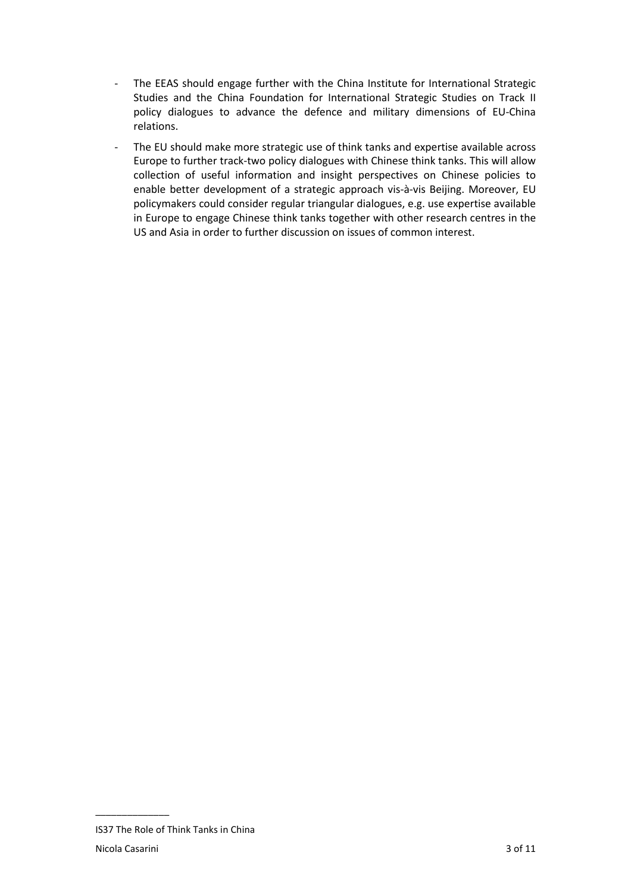- The EEAS should engage further with the China Institute for International Strategic Studies and the China Foundation for International Strategic Studies on Track II policy dialogues to advance the defence and military dimensions of EU-China relations.
- The EU should make more strategic use of think tanks and expertise available across Europe to further track-two policy dialogues with Chinese think tanks. This will allow collection of useful information and insight perspectives on Chinese policies to enable better development of a strategic approach vis-à-vis Beijing. Moreover, EU policymakers could consider regular triangular dialogues, e.g. use expertise available in Europe to engage Chinese think tanks together with other research centres in the US and Asia in order to further discussion on issues of common interest.

IS37 The Role of Think Tanks in China Nicola Casarini 3 of 11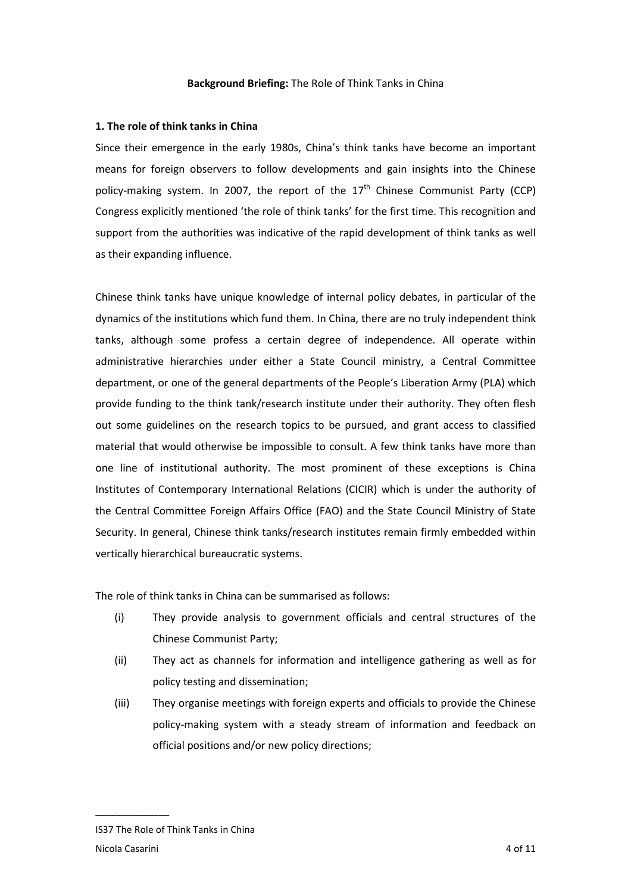### **1. The role of think tanks in China**

Since their emergence in the early 1980s, China's think tanks have become an important means for foreign observers to follow developments and gain insights into the Chinese policy-making system. In 2007, the report of the  $17<sup>th</sup>$  Chinese Communist Party (CCP) Congress explicitly mentioned 'the role of think tanks' for the first time. This recognition and support from the authorities was indicative of the rapid development of think tanks as well as their expanding influence.

Chinese think tanks have unique knowledge of internal policy debates, in particular of the dynamics of the institutions which fund them. In China, there are no truly independent think tanks, although some profess a certain degree of independence. All operate within administrative hierarchies under either a State Council ministry, a Central Committee department, or one of the general departments of the People's Liberation Army (PLA) which provide funding to the think tank/research institute under their authority. They often flesh out some guidelines on the research topics to be pursued, and grant access to classified material that would otherwise be impossible to consult. A few think tanks have more than one line of institutional authority. The most prominent of these exceptions is China Institutes of Contemporary International Relations (CICIR) which is under the authority of the Central Committee Foreign Affairs Office (FAO) and the State Council Ministry of State Security. In general, Chinese think tanks/research institutes remain firmly embedded within vertically hierarchical bureaucratic systems.

The role of think tanks in China can be summarised as follows:

- (i) They provide analysis to government officials and central structures of the Chinese Communist Party;
- (ii) They act as channels for information and intelligence gathering as well as for policy testing and dissemination;
- (iii) They organise meetings with foreign experts and officials to provide the Chinese policy-making system with a steady stream of information and feedback on official positions and/or new policy directions;

IS37 The Role of Think Tanks in China Nicola Casarini 4 of 11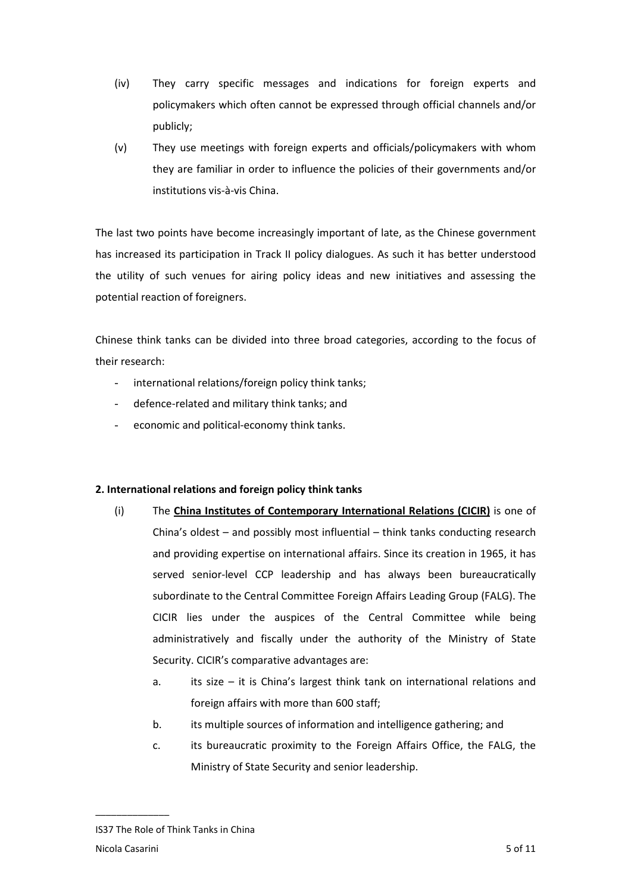- (iv) They carry specific messages and indications for foreign experts and policymakers which often cannot be expressed through official channels and/or publicly;
- (v) They use meetings with foreign experts and officials/policymakers with whom they are familiar in order to influence the policies of their governments and/or institutions vis-à-vis China.

The last two points have become increasingly important of late, as the Chinese government has increased its participation in Track II policy dialogues. As such it has better understood the utility of such venues for airing policy ideas and new initiatives and assessing the potential reaction of foreigners.

Chinese think tanks can be divided into three broad categories, according to the focus of their research:

- international relations/foreign policy think tanks;
- defence-related and military think tanks; and
- economic and political-economy think tanks.

# **2. International relations and foreign policy think tanks**

- (i) The **China Institutes of Contemporary International Relations (CICIR)** is one of China's oldest – and possibly most influential – think tanks conducting research and providing expertise on international affairs. Since its creation in 1965, it has served senior-level CCP leadership and has always been bureaucratically subordinate to the Central Committee Foreign Affairs Leading Group (FALG). The CICIR lies under the auspices of the Central Committee while being administratively and fiscally under the authority of the Ministry of State Security. CICIR's comparative advantages are:
	- a. its size it is China's largest think tank on international relations and foreign affairs with more than 600 staff;
	- b. its multiple sources of information and intelligence gathering; and
	- c. its bureaucratic proximity to the Foreign Affairs Office, the FALG, the Ministry of State Security and senior leadership.

IS37 The Role of Think Tanks in China Nicola Casarini 5 of 11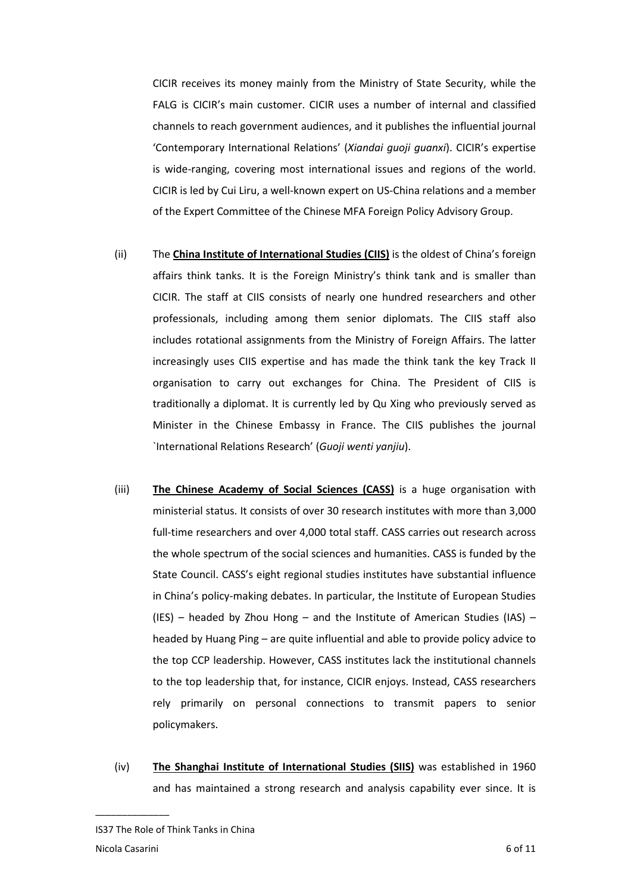CICIR receives its money mainly from the Ministry of State Security, while the FALG is CICIR's main customer. CICIR uses a number of internal and classified channels to reach government audiences, and it publishes the influential journal 'Contemporary International Relations' (*Xiandai guoji guanxi*). CICIR's expertise is wide-ranging, covering most international issues and regions of the world. CICIR is led by Cui Liru, a well-known expert on US-China relations and a member of the Expert Committee of the Chinese MFA Foreign Policy Advisory Group.

- (ii) The **China Institute of International Studies (CIIS)** is the oldest of China's foreign affairs think tanks. It is the Foreign Ministry's think tank and is smaller than CICIR. The staff at CIIS consists of nearly one hundred researchers and other professionals, including among them senior diplomats. The CIIS staff also includes rotational assignments from the Ministry of Foreign Affairs. The latter increasingly uses CIIS expertise and has made the think tank the key Track II organisation to carry out exchanges for China. The President of CIIS is traditionally a diplomat. It is currently led by Qu Xing who previously served as Minister in the Chinese Embassy in France. The CIIS publishes the journal `International Relations Research' (*Guoji wenti yanjiu*).
- (iii) **The Chinese Academy of Social Sciences (CASS)** is a huge organisation with ministerial status. It consists of over 30 research institutes with more than 3,000 full-time researchers and over 4,000 total staff. CASS carries out research across the whole spectrum of the social sciences and humanities. CASS is funded by the State Council. CASS's eight regional studies institutes have substantial influence in China's policy-making debates. In particular, the Institute of European Studies (IES) – headed by Zhou Hong – and the Institute of American Studies (IAS) – headed by Huang Ping – are quite influential and able to provide policy advice to the top CCP leadership. However, CASS institutes lack the institutional channels to the top leadership that, for instance, CICIR enjoys. Instead, CASS researchers rely primarily on personal connections to transmit papers to senior policymakers.
- (iv) **The Shanghai Institute of International Studies (SIIS)** was established in 1960 and has maintained a strong research and analysis capability ever since. It is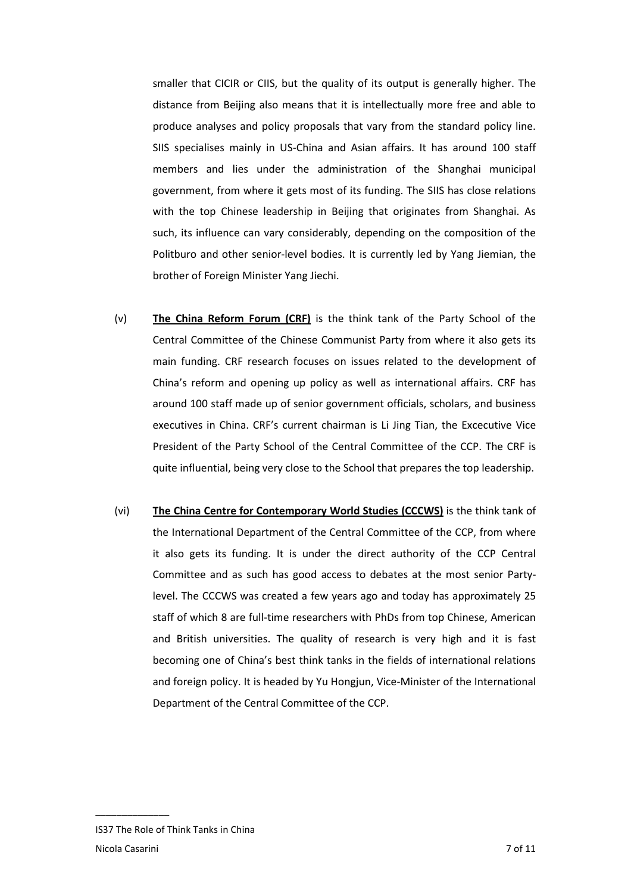smaller that CICIR or CIIS, but the quality of its output is generally higher. The distance from Beijing also means that it is intellectually more free and able to produce analyses and policy proposals that vary from the standard policy line. SIIS specialises mainly in US-China and Asian affairs. It has around 100 staff members and lies under the administration of the Shanghai municipal government, from where it gets most of its funding. The SIIS has close relations with the top Chinese leadership in Beijing that originates from Shanghai. As such, its influence can vary considerably, depending on the composition of the Politburo and other senior-level bodies. It is currently led by Yang Jiemian, the brother of Foreign Minister Yang Jiechi.

- (v) **The China Reform Forum (CRF)** is the think tank of the Party School of the Central Committee of the Chinese Communist Party from where it also gets its main funding. CRF research focuses on issues related to the development of China's reform and opening up policy as well as international affairs. CRF has around 100 staff made up of senior government officials, scholars, and business executives in China. CRF's current chairman is Li Jing Tian, the Excecutive Vice President of the Party School of the Central Committee of the CCP. The CRF is quite influential, being very close to the School that prepares the top leadership.
- (vi) **The China Centre for Contemporary World Studies (CCCWS)** is the think tank of the International Department of the Central Committee of the CCP, from where it also gets its funding. It is under the direct authority of the CCP Central Committee and as such has good access to debates at the most senior Partylevel. The CCCWS was created a few years ago and today has approximately 25 staff of which 8 are full-time researchers with PhDs from top Chinese, American and British universities. The quality of research is very high and it is fast becoming one of China's best think tanks in the fields of international relations and foreign policy. It is headed by Yu Hongjun, Vice-Minister of the International Department of the Central Committee of the CCP.

IS37 The Role of Think Tanks in China Nicola Casarini 7 of 11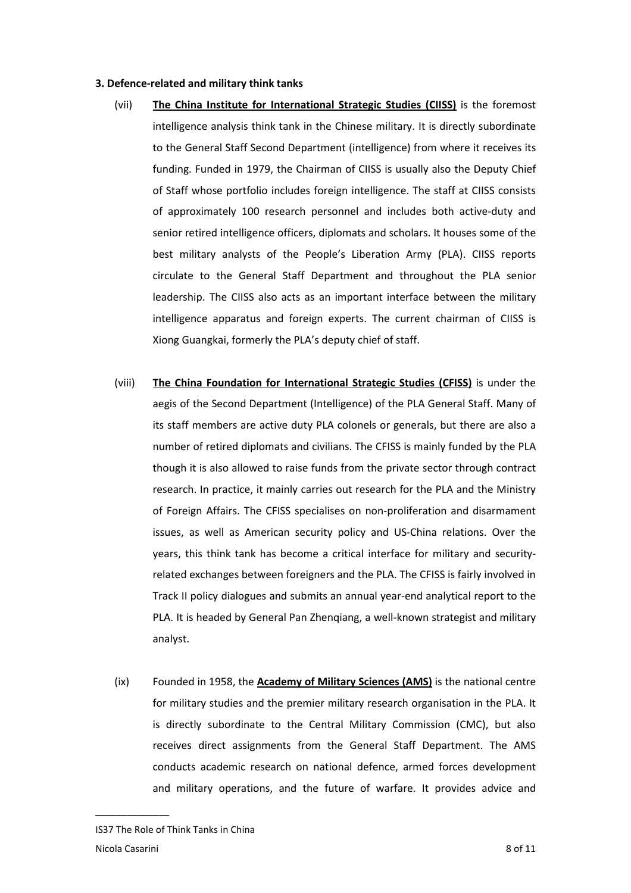### **3. Defence-related and military think tanks**

- (vii) **The China Institute for International Strategic Studies (CIISS)** is the foremost intelligence analysis think tank in the Chinese military. It is directly subordinate to the General Staff Second Department (intelligence) from where it receives its funding. Funded in 1979, the Chairman of CIISS is usually also the Deputy Chief of Staff whose portfolio includes foreign intelligence. The staff at CIISS consists of approximately 100 research personnel and includes both active-duty and senior retired intelligence officers, diplomats and scholars. It houses some of the best military analysts of the People's Liberation Army (PLA). CIISS reports circulate to the General Staff Department and throughout the PLA senior leadership. The CIISS also acts as an important interface between the military intelligence apparatus and foreign experts. The current chairman of CIISS is Xiong Guangkai, formerly the PLA's deputy chief of staff.
- (viii) **The China Foundation for International Strategic Studies (CFISS)** is under the aegis of the Second Department (Intelligence) of the PLA General Staff. Many of its staff members are active duty PLA colonels or generals, but there are also a number of retired diplomats and civilians. The CFISS is mainly funded by the PLA though it is also allowed to raise funds from the private sector through contract research. In practice, it mainly carries out research for the PLA and the Ministry of Foreign Affairs. The CFISS specialises on non-proliferation and disarmament issues, as well as American security policy and US-China relations. Over the years, this think tank has become a critical interface for military and securityrelated exchanges between foreigners and the PLA. The CFISS is fairly involved in Track II policy dialogues and submits an annual year-end analytical report to the PLA. It is headed by General Pan Zhenqiang, a well-known strategist and military analyst.
- (ix) Founded in 1958, the **Academy of Military Sciences (AMS)** is the national centre for military studies and the premier military research organisation in the PLA. It is directly subordinate to the Central Military Commission (CMC), but also receives direct assignments from the General Staff Department. The AMS conducts academic research on national defence, armed forces development and military operations, and the future of warfare. It provides advice and

IS37 The Role of Think Tanks in China Nicola Casarini 8 of 11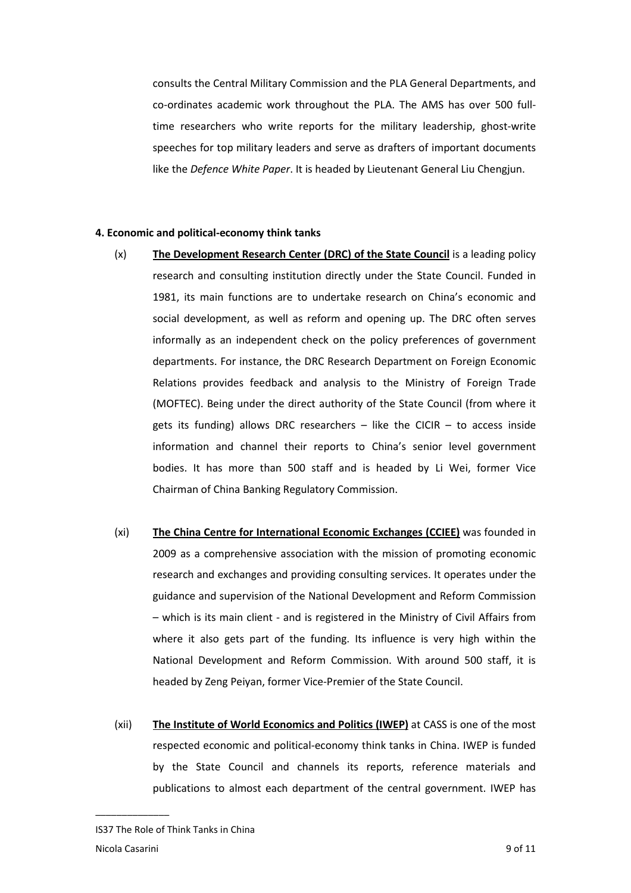consults the Central Military Commission and the PLA General Departments, and co-ordinates academic work throughout the PLA. The AMS has over 500 fulltime researchers who write reports for the military leadership, ghost-write speeches for top military leaders and serve as drafters of important documents like the *Defence White Paper*. It is headed by Lieutenant General Liu Chengjun.

### **4. Economic and political-economy think tanks**

- (x) **The Development Research Center (DRC) of the State Council** is a leading policy research and consulting institution directly under the State Council. Funded in 1981, its main functions are to undertake research on China's economic and social development, as well as reform and opening up. The DRC often serves informally as an independent check on the policy preferences of government departments. For instance, the DRC Research Department on Foreign Economic Relations provides feedback and analysis to the Ministry of Foreign Trade (MOFTEC). Being under the direct authority of the State Council (from where it gets its funding) allows DRC researchers  $-$  like the CICIR  $-$  to access inside information and channel their reports to China's senior level government bodies. It has more than 500 staff and is headed by Li Wei, former Vice Chairman of China Banking Regulatory Commission.
- (xi) **The China Centre for International Economic Exchanges (CCIEE)** was founded in 2009 as a comprehensive association with the mission of promoting economic research and exchanges and providing consulting services. It operates under the guidance and supervision of the National Development and Reform Commission – which is its main client - and is registered in the Ministry of Civil Affairs from where it also gets part of the funding. Its influence is very high within the National Development and Reform Commission. With around 500 staff, it is headed by Zeng Peiyan, former Vice-Premier of the State Council.
- (xii) **The Institute of World Economics and Politics (IWEP)** at CASS is one of the most respected economic and political-economy think tanks in China. IWEP is funded by the State Council and channels its reports, reference materials and publications to almost each department of the central government. IWEP has

IS37 The Role of Think Tanks in China Nicola Casarini 9 of 11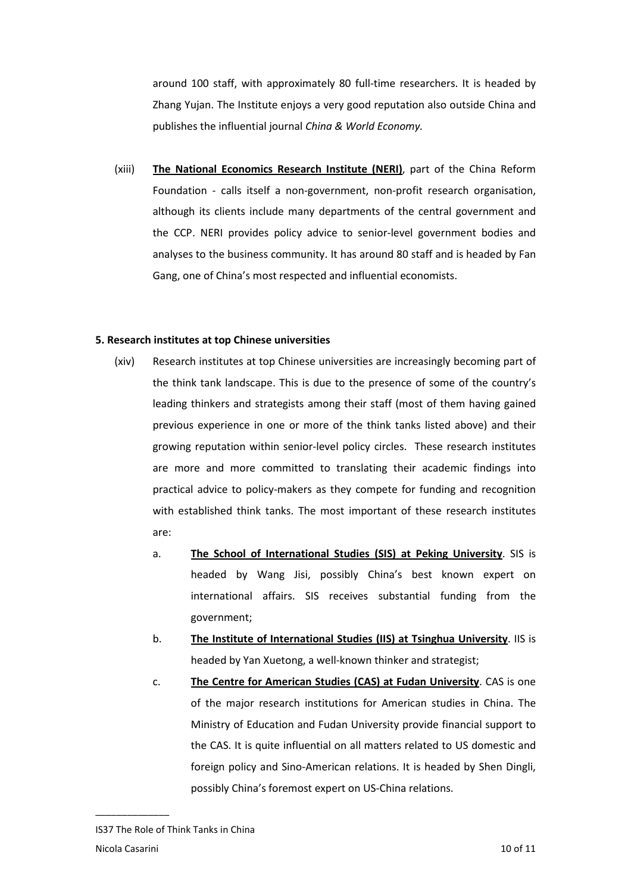around 100 staff, with approximately 80 full-time researchers. It is headed by Zhang Yujan. The Institute enjoys a very good reputation also outside China and publishes the influential journal *China & World Economy.*

(xiii) **The National Economics Research Institute (NERI)**, part of the China Reform Foundation - calls itself a non-government, non-profit research organisation, although its clients include many departments of the central government and the CCP. NERI provides policy advice to senior-level government bodies and analyses to the business community. It has around 80 staff and is headed by Fan Gang, one of China's most respected and influential economists.

# **5. Research institutes at top Chinese universities**

- (xiv) Research institutes at top Chinese universities are increasingly becoming part of the think tank landscape. This is due to the presence of some of the country's leading thinkers and strategists among their staff (most of them having gained previous experience in one or more of the think tanks listed above) and their growing reputation within senior-level policy circles. These research institutes are more and more committed to translating their academic findings into practical advice to policy-makers as they compete for funding and recognition with established think tanks. The most important of these research institutes are:
	- a. **The School of International Studies (SIS) at Peking University**. SIS is headed by Wang Jisi, possibly China's best known expert on international affairs. SIS receives substantial funding from the government;
	- b. **The Institute of International Studies (IIS) at Tsinghua University**. IIS is headed by Yan Xuetong, a well-known thinker and strategist;
	- c. **The Centre for American Studies (CAS) at Fudan University**. CAS is one of the major research institutions for American studies in China. The Ministry of Education and Fudan University provide financial support to the CAS. It is quite influential on all matters related to US domestic and foreign policy and Sino-American relations. It is headed by Shen Dingli, possibly China's foremost expert on US-China relations.